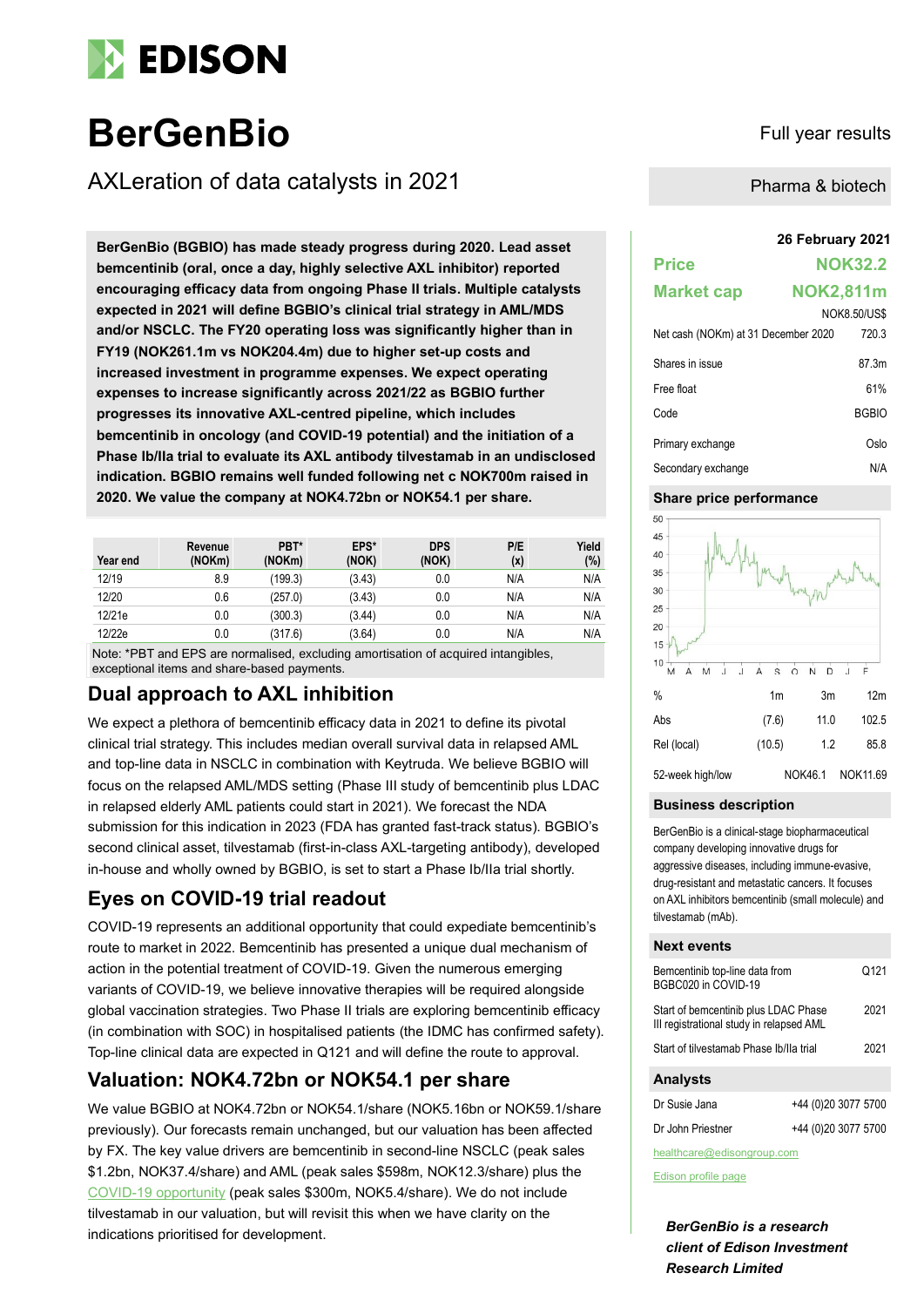

# **BerGenBio** Full year results

AXLeration of data catalysts in 2021

**26 February 2021 BerGenBio (BGBIO) has made steady progress during 2020. Lead asset bemcentinib (oral, once a day, highly selective AXL inhibitor) reported encouraging efficacy data from ongoing Phase II trials. Multiple catalysts expected in 2021 will define BGBIO's clinical trial strategy in AML/MDS and/or NSCLC. The FY20 operating loss was significantly higher than in FY19 (NOK261.1m vs NOK204.4m) due to higher set-up costs and increased investment in programme expenses. We expect operating expenses to increase significantly across 2021/22 as BGBIO further progresses its innovative AXL-centred pipeline, which includes bemcentinib in oncology (and COVID-19 potential) and the initiation of a Phase Ib/IIa trial to evaluate its AXL antibody tilvestamab in an undisclosed indication. BGBIO remains well funded following net c NOK700m raised in 2020. We value the company at NOK4.72bn or NOK54.1 per share.**

| Year end | Revenue<br>(NOKm) | PBT*<br>(NOKm) | EPS*<br>(NOK) | <b>DPS</b><br>(NOK) | P/E<br>(x) | Yield<br>(%) |
|----------|-------------------|----------------|---------------|---------------------|------------|--------------|
| 12/19    | 8.9               | (199.3)        | (3.43)        | 0.0                 | N/A        | N/A          |
| 12/20    | 0.6               | (257.0)        | (3.43)        | 0.0                 | N/A        | N/A          |
| 12/21e   | 0.0               | (300.3)        | (3.44)        | 0.0                 | N/A        | N/A          |
| 12/22e   | 0.0               | (317.6)        | (3.64)        | 0.0                 | N/A        | N/A          |

Note: \*PBT and EPS are normalised, excluding amortisation of acquired intangibles, exceptional items and share-based payments.

## **Dual approach to AXL inhibition**

We expect a plethora of bemcentinib efficacy data in 2021 to define its pivotal clinical trial strategy. This includes median overall survival data in relapsed AML and top-line data in NSCLC in combination with Keytruda. We believe BGBIO will focus on the relapsed AML/MDS setting (Phase III study of bemcentinib plus LDAC in relapsed elderly AML patients could start in 2021). We forecast the NDA submission for this indication in 2023 (FDA has granted fast-track status). BGBIO's second clinical asset, tilvestamab (first-in-class AXL-targeting antibody), developed in-house and wholly owned by BGBIO, is set to start a Phase Ib/IIa trial shortly.

# **Eyes on COVID-19 trial readout**

COVID-19 represents an additional opportunity that could expediate bemcentinib's route to market in 2022. Bemcentinib has presented a unique dual mechanism of action in the potential treatment of COVID-19. Given the numerous emerging variants of COVID-19, we believe innovative therapies will be required alongside global vaccination strategies. Two Phase II trials are exploring bemcentinib efficacy (in combination with SOC) in hospitalised patients (the IDMC has confirmed safety). Top-line clinical data are expected in Q121 and will define the route to approval.

# **Valuation: NOK4.72bn or NOK54.1 per share**

We value BGBIO at NOK4.72bn or NOK54.1/share (NOK5.16bn or NOK59.1/share previously). Our forecasts remain unchanged, but our valuation has been affected by FX. The key value drivers are bemcentinib in second-line NSCLC (peak sales \$1.2bn, NOK37.4/share) and AML (peak sales \$598m, NOK12.3/share) plus the [COVID-19 opportunity](https://www.edisongroup.com/publication/bemcentinib-leading-the-axl-charge/28247/) (peak sales \$300m, NOK5.4/share). We do not include tilvestamab in our valuation, but will revisit this when we have clarity on the indications prioritised for development.

Pharma & biotech

| <b>Price</b>                        |                  | <b>NOK32.2</b>      |
|-------------------------------------|------------------|---------------------|
| <b>Market cap</b>                   | <b>NOK2,811m</b> |                     |
|                                     |                  | <b>NOK8.50/US\$</b> |
| Net cash (NOKm) at 31 December 2020 |                  | 720.3               |
| Shares in issue                     |                  | 87.3m               |
| Free float                          |                  | 61%                 |
| Code                                |                  | <b>BGBIO</b>        |
| Primary exchange                    |                  | Oslo                |
| Secondary exchange                  |                  | N/A                 |

#### **Share price performance**



#### **Business description**

BerGenBio is a clinical-stage biopharmaceutical company developing innovative drugs for aggressive diseases, including immune-evasive, drug-resistant and metastatic cancers. It focuses on AXL inhibitors bemcentinib (small molecule) and tilvestamab (mAb).

#### **Next events**

| Bemcentinib top-line data from<br>BGBC020 in COVID-19                            |                     |  |  |  |
|----------------------------------------------------------------------------------|---------------------|--|--|--|
| Start of bemcentinib plus LDAC Phase<br>III registrational study in relapsed AML |                     |  |  |  |
| Start of tilvestamab Phase Ib/Ila trial                                          |                     |  |  |  |
| <b>Analysts</b>                                                                  |                     |  |  |  |
| Dr Susie Jana                                                                    | +44 (0)20 3077 5700 |  |  |  |
| Dr John Priestner                                                                | +44 (0)20 3077 5700 |  |  |  |

healthcare@edisongroup.com

[Edison profile page](https://www.edisongroup.com/company/bergenbio/2949/)

*BerGenBio is a research client of Edison Investment Research Limited*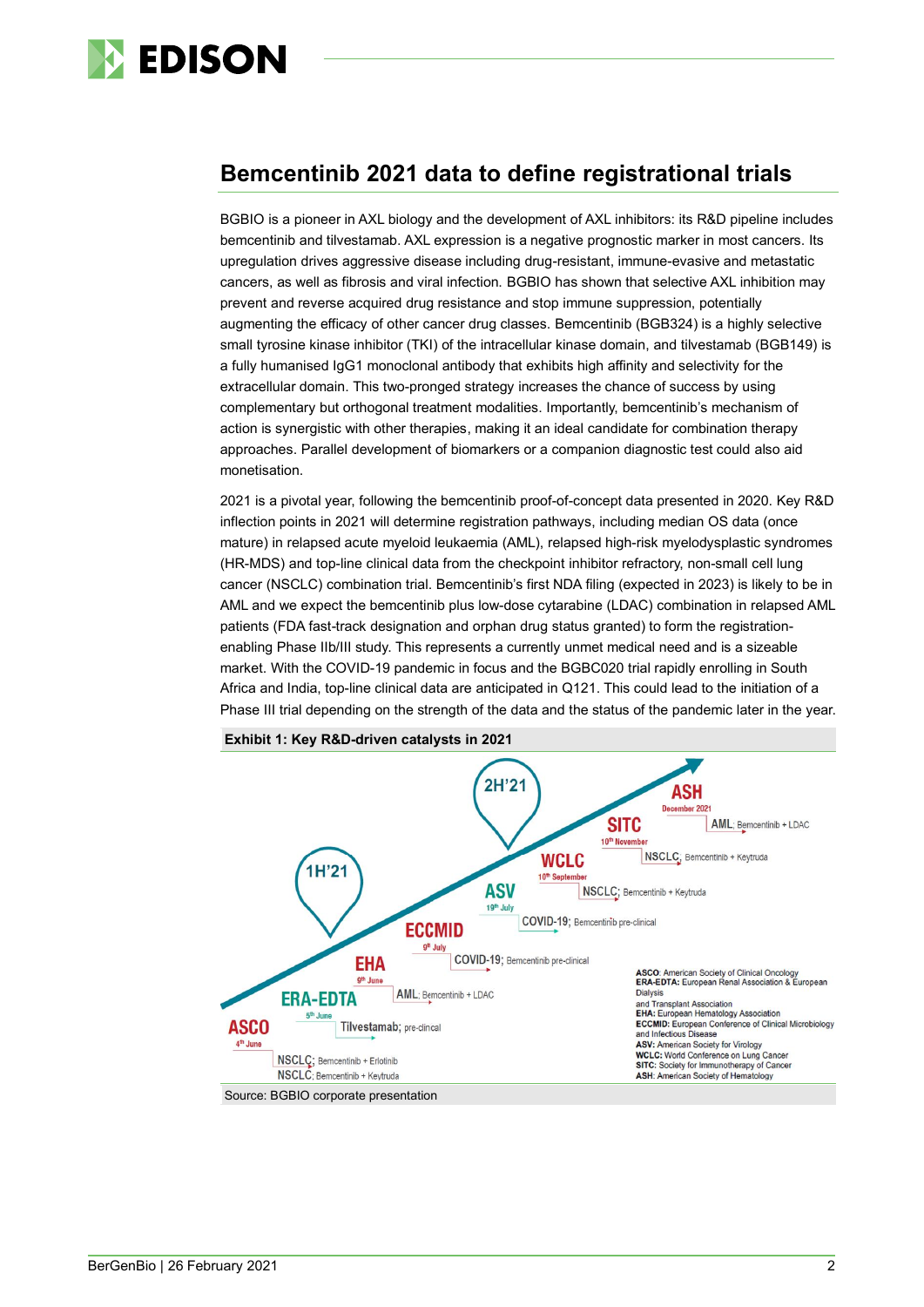

# **Bemcentinib 2021 data to define registrational trials**

BGBIO is a pioneer in AXL biology and the development of AXL inhibitors: its R&D pipeline includes bemcentinib and tilvestamab. AXL expression is a negative prognostic marker in most cancers. Its upregulation drives aggressive disease including drug-resistant, immune-evasive and metastatic cancers, as well as fibrosis and viral infection. BGBIO has shown that selective AXL inhibition may prevent and reverse acquired drug resistance and stop immune suppression, potentially augmenting the efficacy of other cancer drug classes. Bemcentinib (BGB324) is a highly selective small tyrosine kinase inhibitor (TKI) of the intracellular kinase domain, and tilvestamab (BGB149) is a fully humanised IgG1 monoclonal antibody that exhibits high affinity and selectivity for the extracellular domain. This two-pronged strategy increases the chance of success by using complementary but orthogonal treatment modalities. Importantly, bemcentinib's mechanism of action is synergistic with other therapies, making it an ideal candidate for combination therapy approaches. Parallel development of biomarkers or a companion diagnostic test could also aid monetisation.

2021 is a pivotal year, following the bemcentinib proof-of-concept data presented in 2020. Key R&D inflection points in 2021 will determine registration pathways, including median OS data (once mature) in relapsed acute myeloid leukaemia (AML), relapsed high-risk myelodysplastic syndromes (HR-MDS) and top-line clinical data from the checkpoint inhibitor refractory, non-small cell lung cancer (NSCLC) combination trial. Bemcentinib's first NDA filing (expected in 2023) is likely to be in AML and we expect the bemcentinib plus low-dose cytarabine (LDAC) combination in relapsed AML patients (FDA fast-track designation and orphan drug status granted) to form the registrationenabling Phase IIb/III study. This represents a currently unmet medical need and is a sizeable market. With the COVID-19 pandemic in focus and the BGBC020 trial rapidly enrolling in South Africa and India, top-line clinical data are anticipated in Q121. This could lead to the initiation of a Phase III trial depending on the strength of the data and the status of the pandemic later in the year.



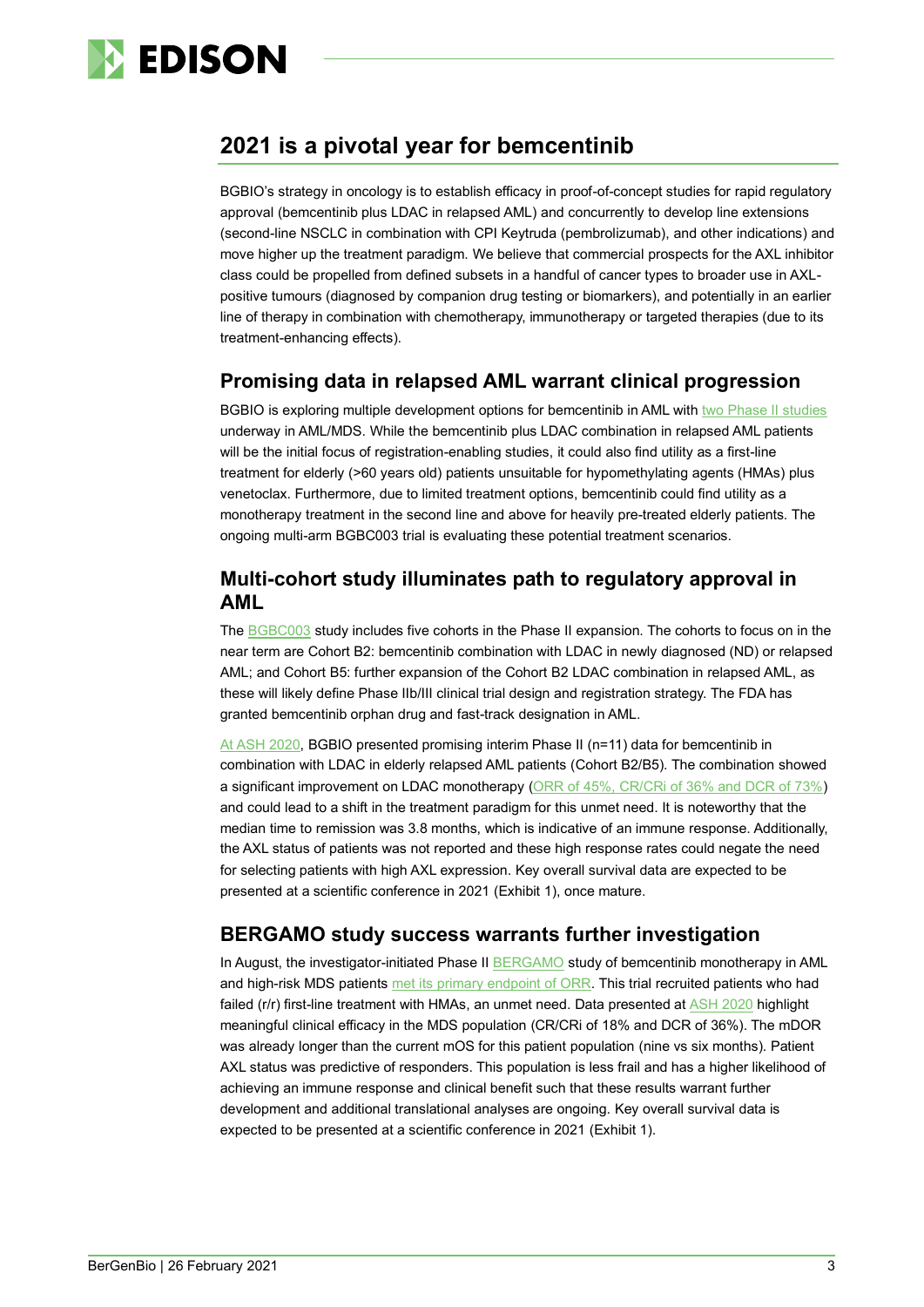

# **2021 is a pivotal year for bemcentinib**

BGBIO's strategy in oncology is to establish efficacy in proof-of-concept studies for rapid regulatory approval (bemcentinib plus LDAC in relapsed AML) and concurrently to develop line extensions (second-line NSCLC in combination with CPI Keytruda (pembrolizumab), and other indications) and move higher up the treatment paradigm. We believe that commercial prospects for the AXL inhibitor class could be propelled from defined subsets in a handful of cancer types to broader use in AXLpositive tumours (diagnosed by companion drug testing or biomarkers), and potentially in an earlier line of therapy in combination with chemotherapy, immunotherapy or targeted therapies (due to its treatment-enhancing effects).

#### **Promising data in relapsed AML warrant clinical progression**

BGBIO is exploring multiple development options for bemcentinib in AML with [two Phase II studies](https://www.edisongroup.com/publication/bemcentinib-leading-the-axl-charge/28247) underway in AML/MDS. While the bemcentinib plus LDAC combination in relapsed AML patients will be the initial focus of registration-enabling studies, it could also find utility as a first-line treatment for elderly (>60 years old) patients unsuitable for hypomethylating agents (HMAs) plus venetoclax. Furthermore, due to limited treatment options, bemcentinib could find utility as a monotherapy treatment in the second line and above for heavily pre-treated elderly patients. The ongoing multi-arm BGBC003 trial is evaluating these potential treatment scenarios.

#### **Multi-cohort study illuminates path to regulatory approval in AML**

The [BGBC003](https://clinicaltrials.gov/ct2/show/NCT02488408) study includes five cohorts in the Phase II expansion. The cohorts to focus on in the near term are Cohort B2: bemcentinib combination with LDAC in newly diagnosed (ND) or relapsed AML; and Cohort B5: further expansion of the Cohort B2 LDAC combination in relapsed AML, as these will likely define Phase IIb/III clinical trial design and registration strategy. The FDA has granted bemcentinib orphan drug and fast-track designation in AML.

[At ASH 2020,](https://www.bergenbio.com/wp-content/uploads/2020/12/ASH2020_Loges_29-Oct-2020_FINAL2-Read-Only.pdf) BGBIO presented promising interim Phase II (n=11) data for bemcentinib in combination with LDAC in elderly relapsed AML patients (Cohort B2/B5). The combination showed a significant improvement on LDAC monotherapy [\(ORR of 45%, CR/CRi of 36% and DCR of 73%\)](https://www.edisongroup.com/publication/progressing-towards-key-inflection-points/28511) and could lead to a shift in the treatment paradigm for this unmet need. It is noteworthy that the median time to remission was 3.8 months, which is indicative of an immune response. Additionally, the AXL status of patients was not reported and these high response rates could negate the need for selecting patients with high AXL expression. Key overall survival data are expected to be presented at a scientific conference in 2021 (Exhibit 1), once mature.

#### **BERGAMO study success warrants further investigation**

In August, the investigator-initiated Phase II **BERGAMO** study of bemcentinib monotherapy in AML and high-risk MDS patients [met its primary endpoint of ORR.](https://tools.eurolandir.com/tools/Pressreleases/GetPressRelease/?ID=3804414&lang=en-GB&companycode=no-bergen&v=) This trial recruited patients who had failed (r/r) first-line treatment with HMAs, an unmet need. Data presented at [ASH 2020](https://www.bergenbio.com/wp-content/uploads/2020/12/ASH-BERGAMO_AK_final3-Read-Only.pdf) highlight meaningful clinical efficacy in the MDS population (CR/CRi of 18% and DCR of 36%). The mDOR was already longer than the current mOS for this patient population (nine vs six months). Patient AXL status was predictive of responders. This population is less frail and has a higher likelihood of achieving an immune response and clinical benefit such that these results warrant further development and additional translational analyses are ongoing. Key overall survival data is expected to be presented at a scientific conference in 2021 (Exhibit 1).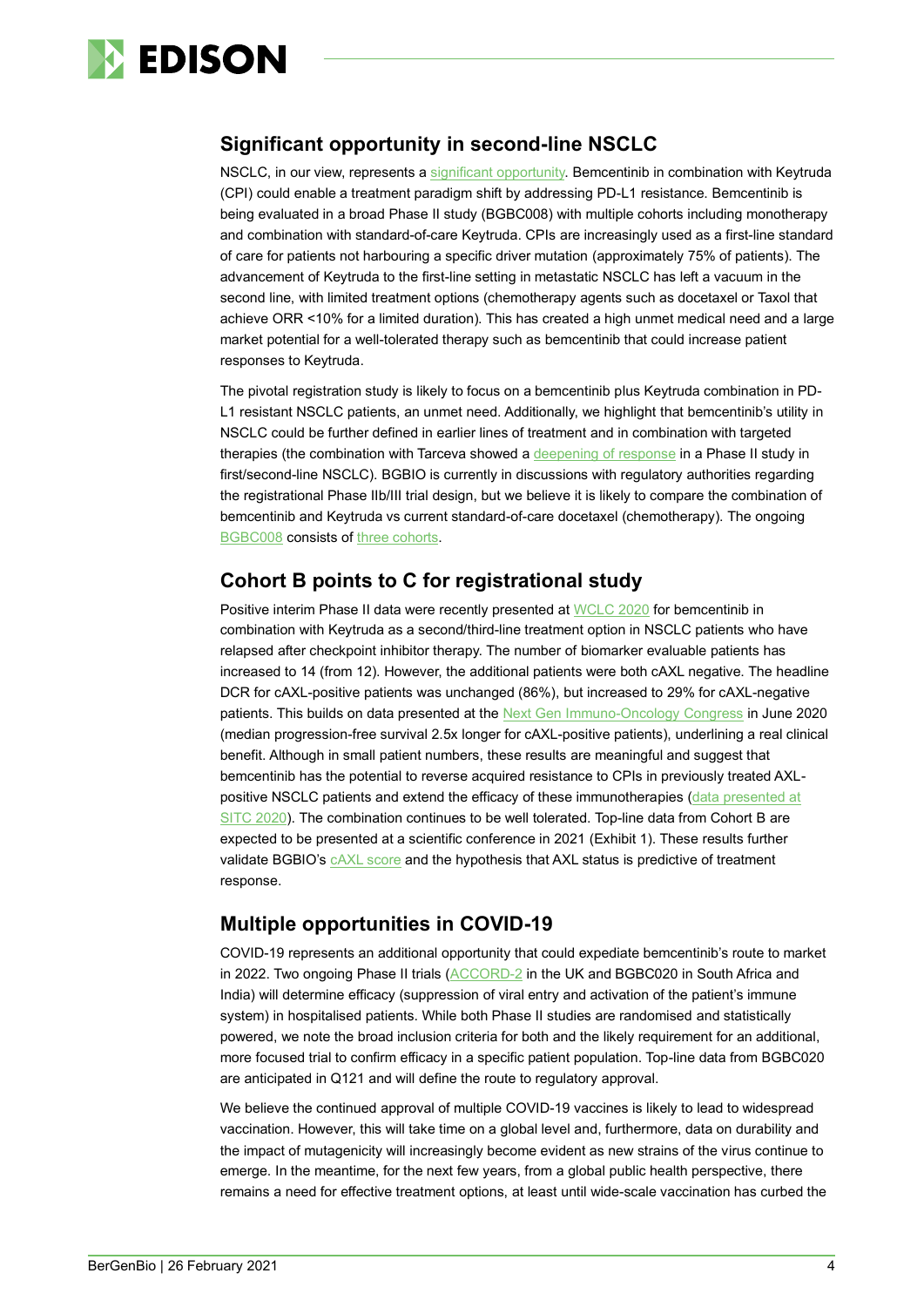

#### **Significant opportunity in second-line NSCLC**

NSCLC, in our view, represents a [significant opportunity.](https://www.edisongroup.com/publication/bemcentinib-leading-the-axl-charge/28247) Bemcentinib in combination with Keytruda (CPI) could enable a treatment paradigm shift by addressing PD-L1 resistance. Bemcentinib is being evaluated in a broad Phase II study (BGBC008) with multiple cohorts including monotherapy and combination with standard-of-care Keytruda. CPIs are increasingly used as a first-line standard of care for patients not harbouring a specific driver mutation (approximately 75% of patients). The advancement of Keytruda to the first-line setting in metastatic NSCLC has left a vacuum in the second line, with limited treatment options (chemotherapy agents such as docetaxel or Taxol that achieve ORR <10% for a limited duration). This has created a high unmet medical need and a large market potential for a well-tolerated therapy such as bemcentinib that could increase patient responses to Keytruda.

The pivotal registration study is likely to focus on a bemcentinib plus Keytruda combination in PD-L1 resistant NSCLC patients, an unmet need. Additionally, we highlight that bemcentinib's utility in NSCLC could be further defined in earlier lines of treatment and in combination with targeted therapies (the combination with Tarceva showed [a deepening of response](https://www.bergenbio.com/wp-content/uploads/2018/09/2018WCLC_BGBC004_Byers-et-al.pdf) in a Phase II study in first/second-line NSCLC). BGBIO is currently in discussions with regulatory authorities regarding the registrational Phase IIb/III trial design, but we believe it is likely to compare the combination of bemcentinib and Keytruda vs current standard-of-care docetaxel (chemotherapy). The ongoing [BGBC008](https://clinicaltrials.gov/ct2/show/NCT03184571) consists of [three cohorts.](https://www.edisongroup.com/publication/bemcentinib-leading-the-axl-charge/28247)

#### **Cohort B points to C for registrational study**

Positive interim Phase II data were recently presented a[t WCLC 2020](https://www.bergenbio.com/wp-content/uploads/2021/01/WCLC2020_Krebs_20Nov2020_draftv4.0.pdf) for bemcentinib in combination with Keytruda as a second/third-line treatment option in NSCLC patients who have relapsed after checkpoint inhibitor therapy. The number of biomarker evaluable patients has increased to 14 (from 12). However, the additional patients were both cAXL negative. The headline DCR for cAXL-positive patients was unchanged (86%), but increased to 29% for cAXL-negative patients. This builds on data presented at the [Next Gen Immuno-Oncology Congress](https://www.bergenbio.com/wp-content/uploads/2020/06/Next-Gen-IO-Presentation-25-June-2020.pdf) in June 2020 (median progression-free survival 2.5x longer for cAXL-positive patients), underlining a real clinical benefit. Although in small patient numbers, these results are meaningful and suggest that bemcentinib has the potential to reverse acquired resistance to CPIs in previously treated AXLpositive NSCLC patients and extend the efficacy of these immunotherapies [\(data presented at](https://www.bergenbio.com/wp-content/uploads/2020/11/SITC2020_Spicer_BGBC008_Cohort_B1_24_Sept_20_v4.2_FINAL-1.pdf)  [SITC 2020\)](https://www.bergenbio.com/wp-content/uploads/2020/11/SITC2020_Spicer_BGBC008_Cohort_B1_24_Sept_20_v4.2_FINAL-1.pdf). The combination continues to be well tolerated. Top-line data from Cohort B are expected to be presented at a scientific conference in 2021 (Exhibit 1). These results further validate BGBIO's CAXL score and the hypothesis that AXL status is predictive of treatment response.

## **Multiple opportunities in COVID-19**

COVID-19 represents an additional opportunity that could expediate bemcentinib's route to market in 2022. Two ongoing Phase II trials [\(ACCORD-2](https://www.clinicaltrialsregister.eu/ctr-search/trial/2020-001736-95/GB) in the UK and BGBC020 in South Africa and India) will determine efficacy (suppression of viral entry and activation of the patient's immune system) in hospitalised patients. While both Phase II studies are randomised and statistically powered, we note the broad inclusion criteria for both and the likely requirement for an additional, more focused trial to confirm efficacy in a specific patient population. Top-line data from BGBC020 are anticipated in Q121 and will define the route to regulatory approval.

We believe the continued approval of multiple COVID-19 vaccines is likely to lead to widespread vaccination. However, this will take time on a global level and, furthermore, data on durability and the impact of mutagenicity will increasingly become evident as new strains of the virus continue to emerge. In the meantime, for the next few years, from a global public health perspective, there remains a need for effective treatment options, at least until wide-scale vaccination has curbed the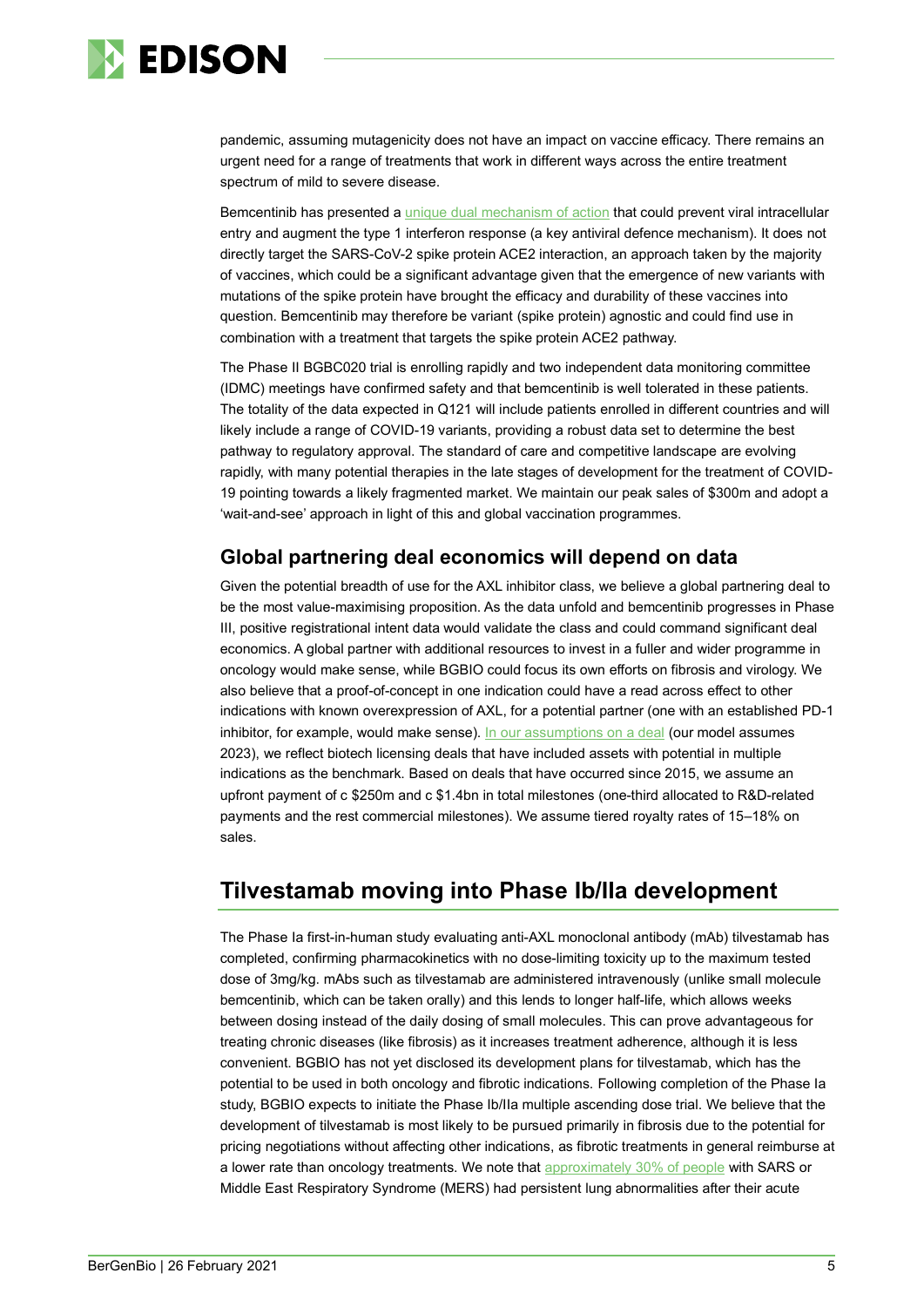

pandemic, assuming mutagenicity does not have an impact on vaccine efficacy. There remains an urgent need for a range of treatments that work in different ways across the entire treatment spectrum of mild to severe disease.

Bemcentinib has presented a [unique dual mechanism of action](https://www.edisongroup.com/publication/bemcentinib-leading-the-axl-charge/28247) that could prevent viral intracellular entry and augment the type 1 interferon response (a key antiviral defence mechanism). It does not directly target the SARS-CoV-2 spike protein ACE2 interaction, an approach taken by the majority of vaccines, which could be a significant advantage given that the emergence of new variants with mutations of the spike protein have brought the efficacy and durability of these vaccines into question. Bemcentinib may therefore be variant (spike protein) agnostic and could find use in combination with a treatment that targets the spike protein ACE2 pathway.

The Phase II BGBC020 trial is enrolling rapidly and two independent data monitoring committee (IDMC) meetings have confirmed safety and that bemcentinib is well tolerated in these patients. The totality of the data expected in Q121 will include patients enrolled in different countries and will likely include a range of COVID-19 variants, providing a robust data set to determine the best pathway to regulatory approval. The standard of care and competitive landscape are evolving rapidly, with many potential therapies in the late stages of development for the treatment of COVID-19 pointing towards a likely fragmented market. We maintain our peak sales of \$300m and adopt a 'wait-and-see' approach in light of this and global vaccination programmes.

## **Global partnering deal economics will depend on data**

Given the potential breadth of use for the AXL inhibitor class, we believe a global partnering deal to be the most value-maximising proposition. As the data unfold and bemcentinib progresses in Phase III, positive registrational intent data would validate the class and could command significant deal economics. A global partner with additional resources to invest in a fuller and wider programme in oncology would make sense, while BGBIO could focus its own efforts on fibrosis and virology. We also believe that a proof-of-concept in one indication could have a read across effect to other indications with known overexpression of AXL, for a potential partner (one with an established PD-1 inhibitor, for example, would make sense). [In our assumptions on a deal](https://www.edisongroup.com/publication/bemcentinib-leading-the-axl-charge/28247) (our model assumes 2023), we reflect biotech licensing deals that have included assets with potential in multiple indications as the benchmark. Based on deals that have occurred since 2015, we assume an upfront payment of c \$250m and c \$1.4bn in total milestones (one-third allocated to R&D-related payments and the rest commercial milestones). We assume tiered royalty rates of 15–18% on sales.

# **Tilvestamab moving into Phase Ib/IIa development**

The Phase Ia first-in-human study evaluating anti-AXL monoclonal antibody (mAb) tilvestamab has completed, confirming pharmacokinetics with no dose-limiting toxicity up to the maximum tested dose of 3mg/kg. mAbs such as tilvestamab are administered intravenously (unlike small molecule bemcentinib, which can be taken orally) and this lends to longer half-life, which allows weeks between dosing instead of the daily dosing of small molecules. This can prove advantageous for treating chronic diseases (like fibrosis) as it increases treatment adherence, although it is less convenient. BGBIO has not yet disclosed its development plans for tilvestamab, which has the potential to be used in both oncology and fibrotic indications. Following completion of the Phase Ia study, BGBIO expects to initiate the Phase Ib/IIa multiple ascending dose trial. We believe that the development of tilvestamab is most likely to be pursued primarily in fibrosis due to the potential for pricing negotiations without affecting other indications, as fibrotic treatments in general reimburse at a lower rate than oncology treatments. We note tha[t approximately 30% of people](https://www.bmj.com/content/370/bmj.m3001) with SARS or Middle East Respiratory Syndrome (MERS) had persistent lung abnormalities after their acute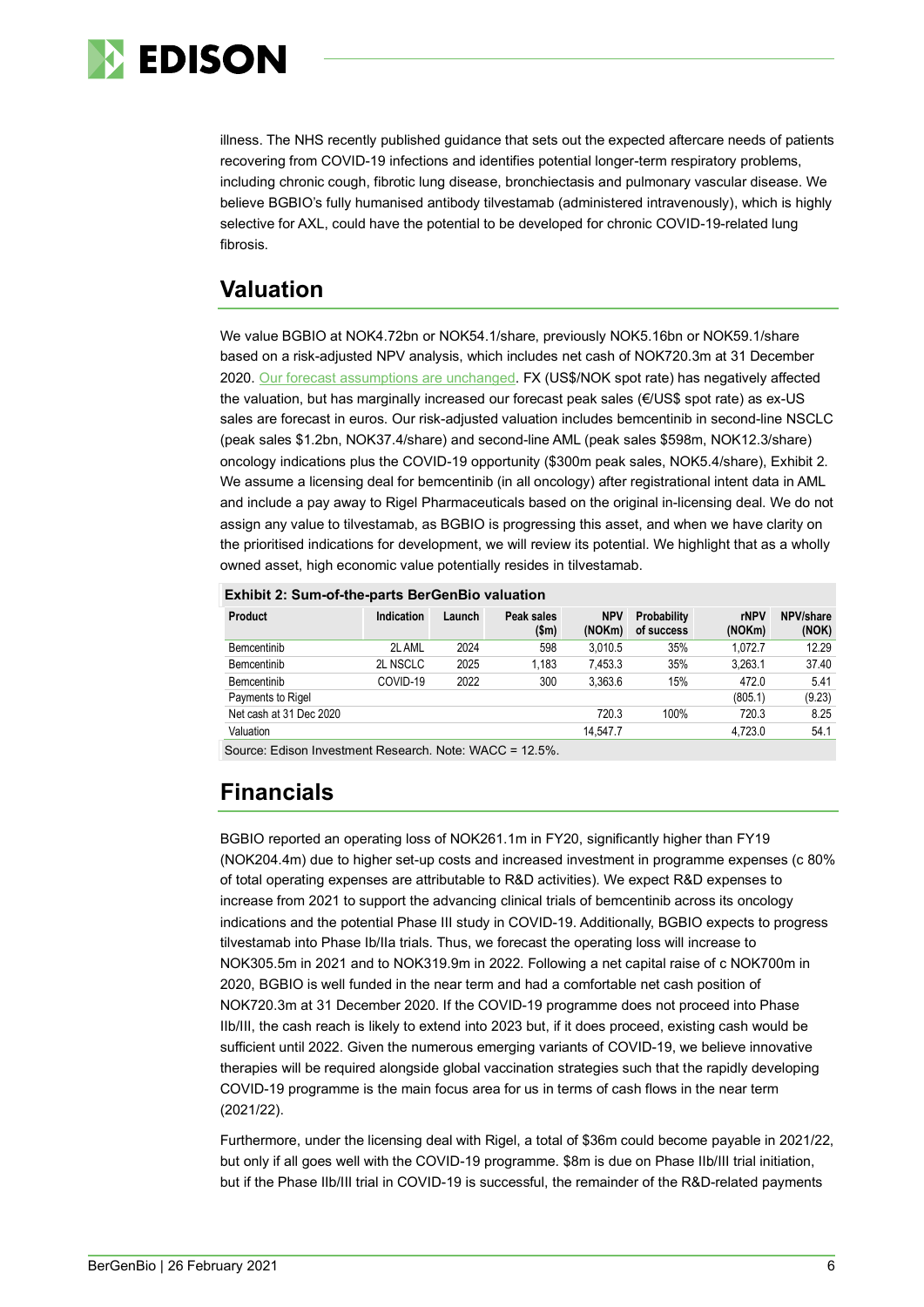

illness. The NHS recently published guidance that sets out the expected aftercare needs of patients recovering from COVID-19 infections and identifies potential longer-term respiratory problems, including chronic cough, fibrotic lung disease, bronchiectasis and pulmonary vascular disease. We believe BGBIO's fully humanised antibody tilvestamab (administered intravenously), which is highly selective for AXL, could have the potential to be developed for chronic COVID-19-related lung fibrosis.

# **Valuation**

We value BGBIO at NOK4.72bn or NOK54.1/share, previously NOK5.16bn or NOK59.1/share based on a risk-adjusted NPV analysis, which includes net cash of NOK720.3m at 31 December 2020. Our forecast [assumptions are unchanged.](https://www.edisongroup.com/publication/bemcentinib-leading-the-axl-charge/28247) FX (US\$/NOK spot rate) has negatively affected the valuation, but has marginally increased our forecast peak sales (€/US\$ spot rate) as ex-US sales are forecast in euros. Our risk-adjusted valuation includes bemcentinib in second-line NSCLC (peak sales \$1.2bn, NOK37.4/share) and second-line AML (peak sales \$598m, NOK12.3/share) oncology indications plus the COVID-19 opportunity (\$300m peak sales, NOK5.4/share), Exhibit 2. We assume a licensing deal for bemcentinib (in all oncology) after registrational intent data in AML and include a pay away to Rigel Pharmaceuticals based on the original in-licensing deal. We do not assign any value to tilvestamab, as BGBIO is progressing this asset, and when we have clarity on the prioritised indications for development, we will review its potential. We highlight that as a wholly owned asset, high economic value potentially resides in tilvestamab.

| Exhibit 2: Sum-of-the-parts BerGenBio valuation |  |
|-------------------------------------------------|--|
|                                                 |  |

| Product                 | <b>Indication</b> | Launch | Peak sales<br>\$m\$ | <b>NPV</b><br>(NOKm) | Probability<br>of success | rNPV<br>(NOKm) | NPV/share<br>(NOK) |
|-------------------------|-------------------|--------|---------------------|----------------------|---------------------------|----------------|--------------------|
| Bemcentinib             | 2L AML            | 2024   | 598                 | 3.010.5              | 35%                       | 1.072.7        | 12.29              |
| Bemcentinib             | 2L NSCLC          | 2025   | 1.183               | 7.453.3              | 35%                       | 3.263.1        | 37.40              |
| Bemcentinib             | COVID-19          | 2022   | 300                 | 3.363.6              | 15%                       | 472.0          | 5.41               |
| Payments to Rigel       |                   |        |                     |                      |                           | (805.1)        | (9.23)             |
| Net cash at 31 Dec 2020 |                   |        |                     | 720.3                | 100%                      | 720.3          | 8.25               |
| Valuation               |                   |        |                     | 14.547.7             |                           | 4.723.0        | 54.1               |

Source: Edison Investment Research. Note: WACC = 12.5%.

# **Financials**

BGBIO reported an operating loss of NOK261.1m in FY20, significantly higher than FY19 (NOK204.4m) due to higher set-up costs and increased investment in programme expenses (c 80% of total operating expenses are attributable to R&D activities). We expect R&D expenses to increase from 2021 to support the advancing clinical trials of bemcentinib across its oncology indications and the potential Phase III study in COVID-19. Additionally, BGBIO expects to progress tilvestamab into Phase Ib/IIa trials. Thus, we forecast the operating loss will increase to NOK305.5m in 2021 and to NOK319.9m in 2022. Following a net capital raise of c NOK700m in 2020, BGBIO is well funded in the near term and had a comfortable net cash position of NOK720.3m at 31 December 2020. If the COVID-19 programme does not proceed into Phase IIb/III, the cash reach is likely to extend into 2023 but, if it does proceed, existing cash would be sufficient until 2022. Given the numerous emerging variants of COVID-19, we believe innovative therapies will be required alongside global vaccination strategies such that the rapidly developing COVID-19 programme is the main focus area for us in terms of cash flows in the near term (2021/22).

Furthermore, under the licensing deal with Rigel, a total of \$36m could become payable in 2021/22, but only if all goes well with the COVID-19 programme. \$8m is due on Phase IIb/III trial initiation, but if the Phase IIb/III trial in COVID-19 is successful, the remainder of the R&D-related payments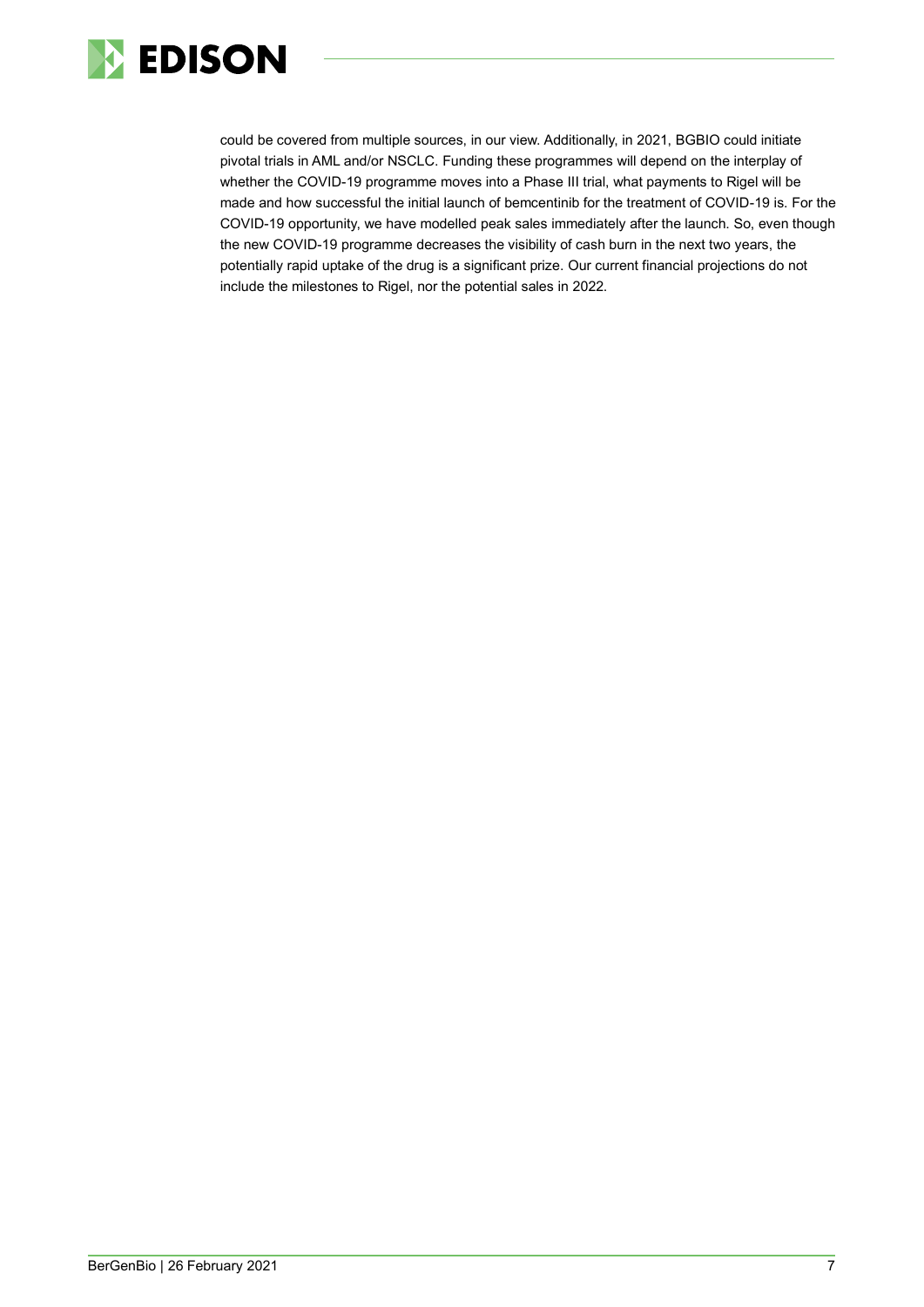

could be covered from multiple sources, in our view. Additionally, in 2021, BGBIO could initiate pivotal trials in AML and/or NSCLC. Funding these programmes will depend on the interplay of whether the COVID-19 programme moves into a Phase III trial, what payments to Rigel will be made and how successful the initial launch of bemcentinib for the treatment of COVID-19 is. For the COVID-19 opportunity, we have modelled peak sales immediately after the launch. So, even though the new COVID-19 programme decreases the visibility of cash burn in the next two years, the potentially rapid uptake of the drug is a significant prize. Our current financial projections do not include the milestones to Rigel, nor the potential sales in 2022.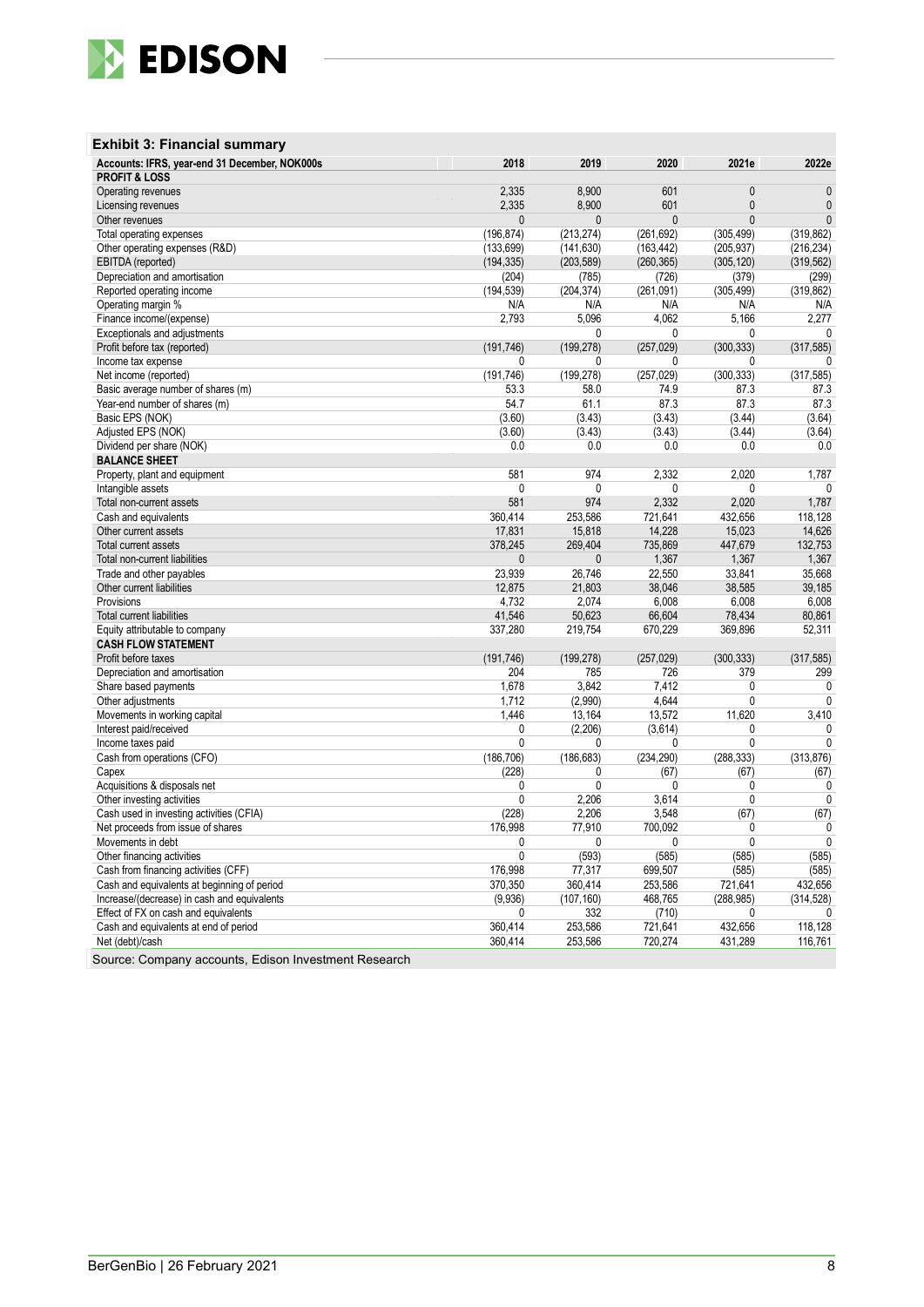

| <b>Exhibit 3: Financial summary</b>           |            |            |              |              |              |
|-----------------------------------------------|------------|------------|--------------|--------------|--------------|
| Accounts: IFRS, year-end 31 December, NOK000s | 2018       | 2019       | 2020         | 2021e        | 2022e        |
| <b>PROFIT &amp; LOSS</b>                      |            |            |              |              |              |
| Operating revenues                            | 2,335      | 8,900      | 601          | $\mathbf{0}$ | 0            |
| Licensing revenues                            | 2,335      | 8,900      | 601          | $\mathbf{0}$ | $\mathbf{0}$ |
| Other revenues                                | 0          | 0          | $\Omega$     | $\mathbf{0}$ | $\mathbf{0}$ |
| Total operating expenses                      | (196, 874) | (213, 274) | (261, 692)   | (305, 499)   | (319, 862)   |
| Other operating expenses (R&D)                | (133, 699) | (141, 630) | (163, 442)   | (205, 937)   | (216, 234)   |
| EBITDA (reported)                             | (194, 335) | (203, 589) | (260, 365)   | (305, 120)   | (319, 562)   |
| Depreciation and amortisation                 | (204)      | (785)      | (726)        | (379)        | (299)        |
| Reported operating income                     | (194, 539) | (204, 374) | (261,091)    | (305, 499)   | (319, 862)   |
| Operating margin %                            | N/A        | N/A        | N/A          | N/A          | N/A          |
| Finance income/(expense)                      | 2,793      | 5,096      | 4,062        | 5,166        | 2,277        |
| Exceptionals and adjustments                  |            | 0          | 0            | 0            | 0            |
| Profit before tax (reported)                  | (191, 746) | (199, 278) | (257, 029)   | (300, 333)   | (317, 585)   |
| Income tax expense                            | 0          | 0          | 0            | 0            | 0            |
| Net income (reported)                         | (191, 746) | (199, 278) | (257, 029)   | (300, 333)   | (317, 585)   |
| Basic average number of shares (m)            | 53.3       | 58.0       | 74.9         | 87.3         | 87.3         |
| Year-end number of shares (m)                 | 54.7       | 61.1       | 87.3         | 87.3         | 87.3         |
| Basic EPS (NOK)                               | (3.60)     | (3.43)     | (3.43)       | (3.44)       | (3.64)       |
| Adjusted EPS (NOK)                            | (3.60)     | (3.43)     | (3.43)       | (3.44)       | (3.64)       |
| Dividend per share (NOK)                      | 0.0        | 0.0        | 0.0          | 0.0          | 0.0          |
| <b>BALANCE SHEET</b>                          |            |            |              |              |              |
| Property, plant and equipment                 | 581        | 974        | 2,332        | 2,020        | 1,787        |
| Intangible assets                             | 0          | 0          | $\mathbf{0}$ | 0            | 0            |
| Total non-current assets                      | 581        | 974        | 2,332        | 2,020        | 1,787        |
| Cash and equivalents                          | 360,414    | 253,586    | 721,641      | 432,656      | 118,128      |
| Other current assets                          | 17,831     | 15,818     | 14,228       | 15,023       | 14,626       |
| <b>Total current assets</b>                   | 378,245    | 269,404    | 735,869      | 447,679      | 132,753      |
| Total non-current liabilities                 | 0          | 0          | 1,367        | 1,367        | 1,367        |
| Trade and other payables                      | 23,939     | 26,746     | 22,550       | 33,841       | 35,668       |
| Other current liabilities                     | 12,875     | 21,803     | 38,046       | 38,585       | 39,185       |
| Provisions                                    | 4,732      | 2,074      | 6,008        | 6,008        | 6,008        |
| <b>Total current liabilities</b>              | 41,546     | 50,623     | 66,604       | 78,434       | 80,861       |
| Equity attributable to company                | 337,280    | 219,754    | 670,229      | 369,896      | 52,311       |
| <b>CASH FLOW STATEMENT</b>                    |            |            |              |              |              |
| Profit before taxes                           | (191, 746) | (199, 278) | (257, 029)   | (300, 333)   | (317, 585)   |
| Depreciation and amortisation                 | 204        | 785        | 726          | 379          | 299          |
| Share based payments                          | 1,678      | 3,842      | 7,412        | 0            | 0            |
| Other adjustments                             | 1,712      | (2,990)    | 4,644        | 0            | $\mathbf{0}$ |
| Movements in working capital                  | 1,446      | 13,164     | 13,572       | 11,620       | 3,410        |
| Interest paid/received                        | 0          | (2, 206)   | (3,614)      | 0            | 0            |
| Income taxes paid                             | 0          | 0          | 0            | 0            | 0            |
| Cash from operations (CFO)                    | (186, 706) | (186, 683) | (234, 290)   | (288, 333)   | (313, 876)   |
| Capex                                         | (228)      | 0          | (67)         | (67)         | (67)         |
| Acquisitions & disposals net                  | 0          | 0          | 0            | 0            | 0            |
| Other investing activities                    | 0          | 2,206      | 3,614        | 0            | 0            |
| Cash used in investing activities (CFIA)      | (228)      | 2,206      | 3,548        | (67)         | (67)         |
| Net proceeds from issue of shares             | 176,998    | 77,910     | 700,092      | 0            | 0            |
| Movements in debt                             | 0          | 0          | 0            | 0            | 0            |
| Other financing activities                    | 0          | (593)      | (585)        | (585)        | (585)        |
| Cash from financing activities (CFF)          | 176,998    | 77,317     | 699,507      | (585)        | (585)        |
| Cash and equivalents at beginning of period   | 370,350    | 360,414    | 253,586      | 721,641      | 432,656      |
| Increase/(decrease) in cash and equivalents   | (9,936)    | (107, 160) | 468,765      | (288, 985)   | (314, 528)   |
| Effect of FX on cash and equivalents          | 0          | 332        | (710)        | 0            | 0            |
| Cash and equivalents at end of period         | 360,414    | 253,586    | 721,641      | 432,656      | 118,128      |
| Net (debt)/cash                               | 360,414    | 253,586    | 720,274      | 431,289      | 116,761      |
|                                               |            |            |              |              |              |

Source: Company accounts, Edison Investment Research